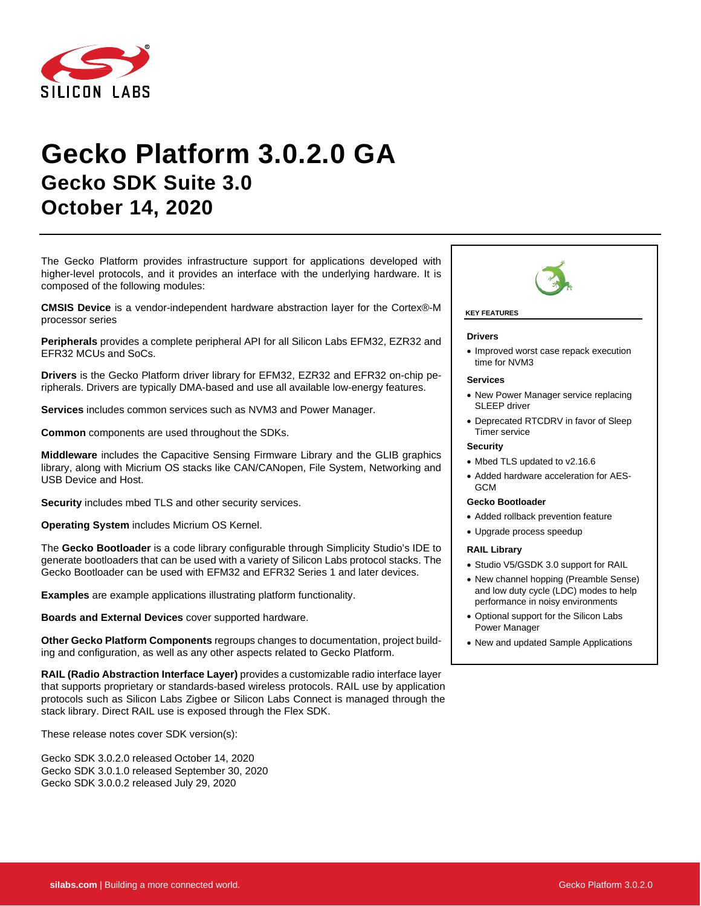

# **Gecko Platform 3.0.2.0 GA Gecko SDK Suite 3.0 October 14, 2020**

The Gecko Platform provides infrastructure support for applications developed with higher-level protocols, and it provides an interface with the underlying hardware. It is composed of the following modules:

**CMSIS Device** is a vendor-independent hardware abstraction layer for the Cortex®-M processor series

**Peripherals** provides a complete peripheral API for all Silicon Labs EFM32, EZR32 and EFR32 MCUs and SoCs.

**Drivers** is the Gecko Platform driver library for EFM32, EZR32 and EFR32 on-chip peripherals. Drivers are typically DMA-based and use all available low-energy features.

**Services** includes common services such as NVM3 and Power Manager.

**Common** components are used throughout the SDKs.

**Middleware** includes the Capacitive Sensing Firmware Library and the GLIB graphics library, along with Micrium OS stacks like CAN/CANopen, File System, Networking and USB Device and Host.

**Security** includes mbed TLS and other security services.

**Operating System** includes Micrium OS Kernel.

The **Gecko Bootloader** is a code library configurable through Simplicity Studio's IDE to generate bootloaders that can be used with a variety of Silicon Labs protocol stacks. The Gecko Bootloader can be used with EFM32 and EFR32 Series 1 and later devices.

**Examples** are example applications illustrating platform functionality.

**Boards and External Devices** cover supported hardware.

**Other Gecko Platform Components** regroups changes to documentation, project building and configuration, as well as any other aspects related to Gecko Platform.

**RAIL (Radio Abstraction Interface Layer)** provides a customizable radio interface layer that supports proprietary or standards-based wireless protocols. RAIL use by application protocols such as Silicon Labs Zigbee or Silicon Labs Connect is managed through the stack library. Direct RAIL use is exposed through the Flex SDK.

These release notes cover SDK version(s):

Gecko SDK 3.0.2.0 released October 14, 2020 Gecko SDK 3.0.1.0 released September 30, 2020 Gecko SDK 3.0.0.2 released July 29, 2020



#### **KEY FEATURES**

#### **Drivers**

• Improved worst case repack execution time for NVM3

#### **Services**

- New Power Manager service replacing SLEEP driver
- Deprecated RTCDRV in favor of Sleep Timer service

#### **Security**

- Mbed TLS updated to v2.16.6
- Added hardware acceleration for AES-GCM

#### **Gecko Bootloader**

- Added rollback prevention feature
- Upgrade process speedup

#### **RAIL Library**

- Studio V5/GSDK 3.0 support for RAIL
- New channel hopping (Preamble Sense) and low duty cycle (LDC) modes to help performance in noisy environments
- Optional support for the Silicon Labs Power Manager
- New and updated Sample Applications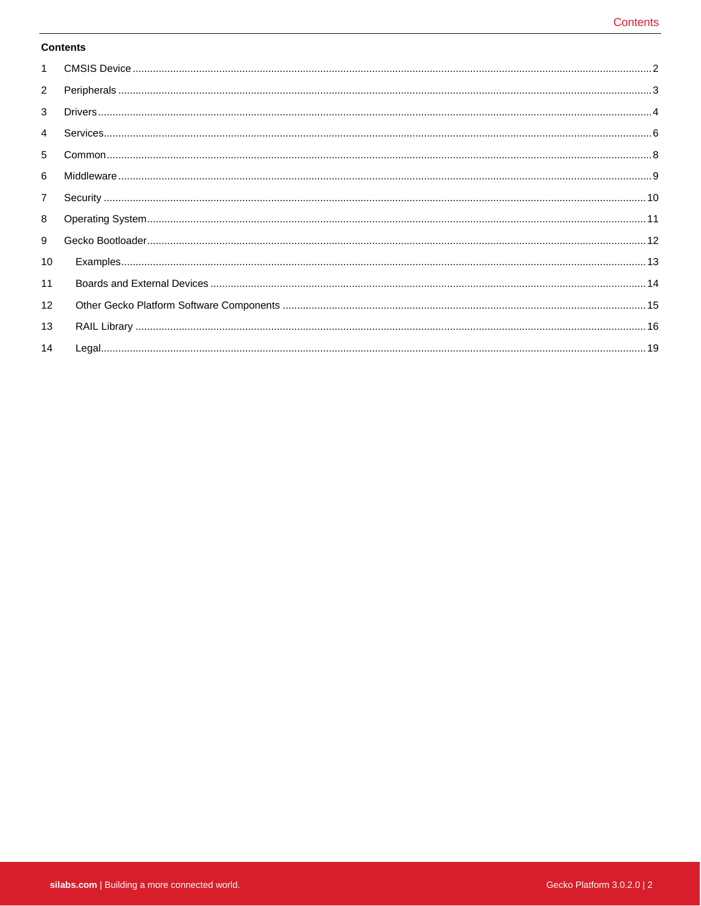### **Contents**

| $\mathbf{1}$   |  |
|----------------|--|
| $\overline{2}$ |  |
| 3              |  |
| $\overline{4}$ |  |
| 5              |  |
| 6              |  |
| $\overline{7}$ |  |
| 8              |  |
| 9              |  |
| 10             |  |
| 11             |  |
| 12             |  |
| 13             |  |
| 14             |  |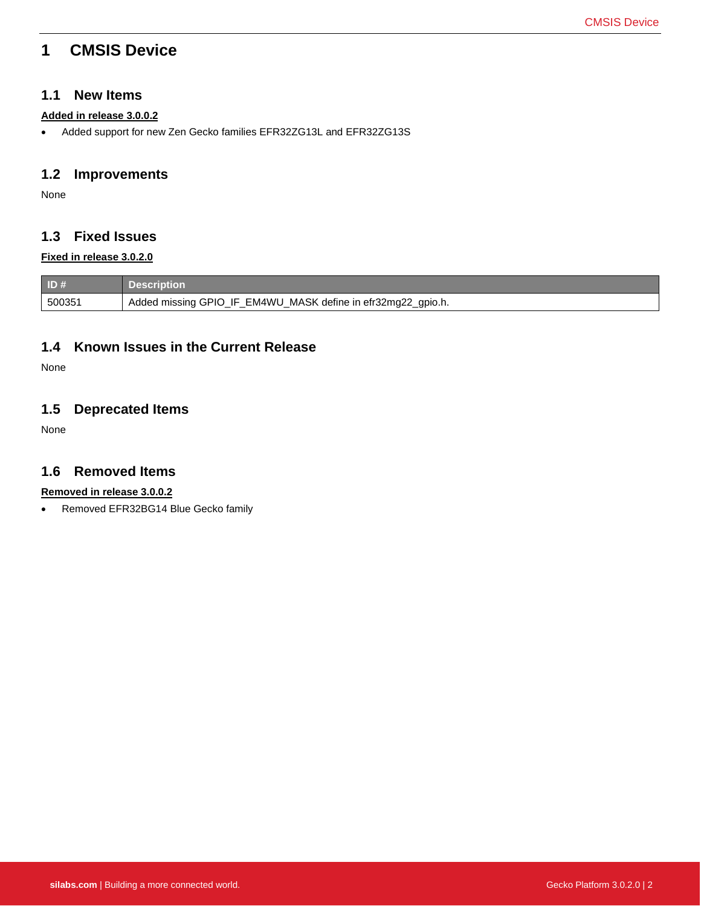# <span id="page-2-0"></span>**1 CMSIS Device**

## **1.1 New Items**

### **Added in release 3.0.0.2**

• Added support for new Zen Gecko families EFR32ZG13L and EFR32ZG13S

## **1.2 Improvements**

None

## **1.3 Fixed Issues**

### **Fixed in release 3.0.2.0**

| ID#    | <b>Description</b>                                           |
|--------|--------------------------------------------------------------|
| 500351 | Added missing GPIO_IF_EM4WU_MASK define in efr32mg22_gpio.h. |

## **1.4 Known Issues in the Current Release**

None

# **1.5 Deprecated Items**

None

## **1.6 Removed Items**

### **Removed in release 3.0.0.2**

• Removed EFR32BG14 Blue Gecko family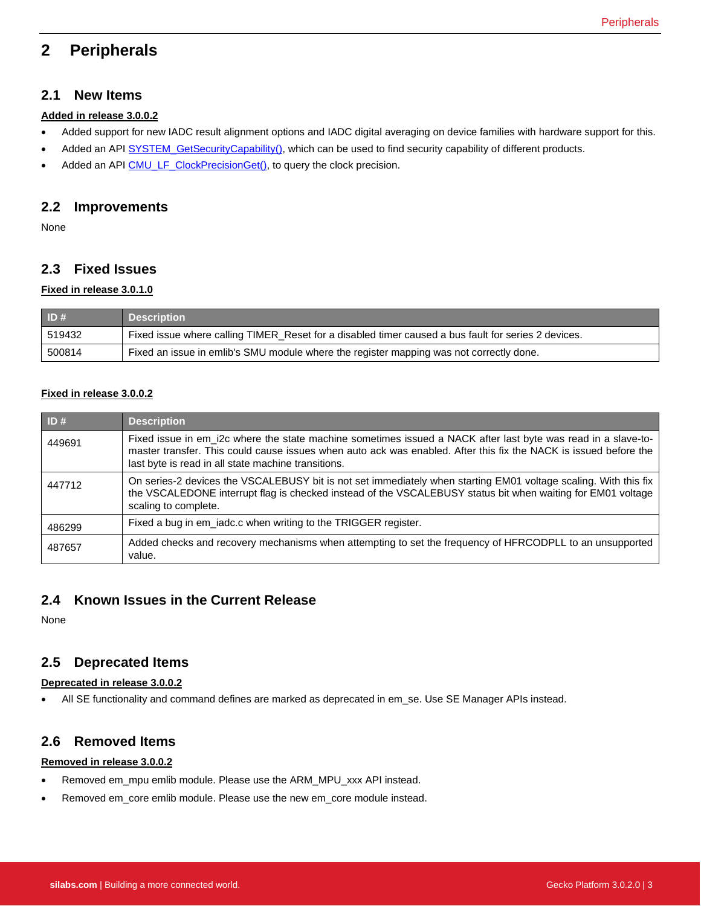# <span id="page-3-0"></span>**2 Peripherals**

## **2.1 New Items**

### **Added in release 3.0.0.2**

- Added support for new IADC result alignment options and IADC digital averaging on device families with hardware support for this.
- Added an API [SYSTEM\\_GetSecurityCapability\(\),](https://docs.silabs.com/gecko-platform/latest/emlib/api/efm32g/group-system#ga17224bf145ca21b45dee6273943acca2) which can be used to find security capability of different products.
- Added an API [CMU\\_LF\\_ClockPrecisionGet\(\),](https://docs.silabs.com/gecko-platform/latest/emlib/api/efm32gg/group-cmu#gab7e78ce28916a3faba3c674a36eb12b1) to query the clock precision.

## **2.2 Improvements**

None

## **2.3 Fixed Issues**

#### **Fixed in release 3.0.1.0**

| ID#    | <b>Description</b>                                                                                  |
|--------|-----------------------------------------------------------------------------------------------------|
| 519432 | Fixed issue where calling TIMER_Reset for a disabled timer caused a bus fault for series 2 devices. |
| 500814 | Fixed an issue in emlib's SMU module where the register mapping was not correctly done.             |

### **Fixed in release 3.0.0.2**

| ID#    | <b>Description</b>                                                                                                                                                                                                                                                                       |
|--------|------------------------------------------------------------------------------------------------------------------------------------------------------------------------------------------------------------------------------------------------------------------------------------------|
| 449691 | Fixed issue in em i2c where the state machine sometimes issued a NACK after last byte was read in a slave-to-<br>master transfer. This could cause issues when auto ack was enabled. After this fix the NACK is issued before the<br>last byte is read in all state machine transitions. |
| 447712 | On series-2 devices the VSCALEBUSY bit is not set immediately when starting EM01 voltage scaling. With this fix<br>the VSCALEDONE interrupt flag is checked instead of the VSCALEBUSY status bit when waiting for EM01 voltage<br>scaling to complete.                                   |
| 486299 | Fixed a bug in em_iadc.c when writing to the TRIGGER register.                                                                                                                                                                                                                           |
| 487657 | Added checks and recovery mechanisms when attempting to set the frequency of HFRCODPLL to an unsupported<br>value.                                                                                                                                                                       |

## **2.4 Known Issues in the Current Release**

None

### **2.5 Deprecated Items**

#### **Deprecated in release 3.0.0.2**

• All SE functionality and command defines are marked as deprecated in em\_se. Use SE Manager APIs instead.

## **2.6 Removed Items**

#### **Removed in release 3.0.0.2**

- Removed em\_mpu emlib module. Please use the ARM\_MPU\_xxx API instead.
- Removed em\_core emlib module. Please use the new em\_core module instead.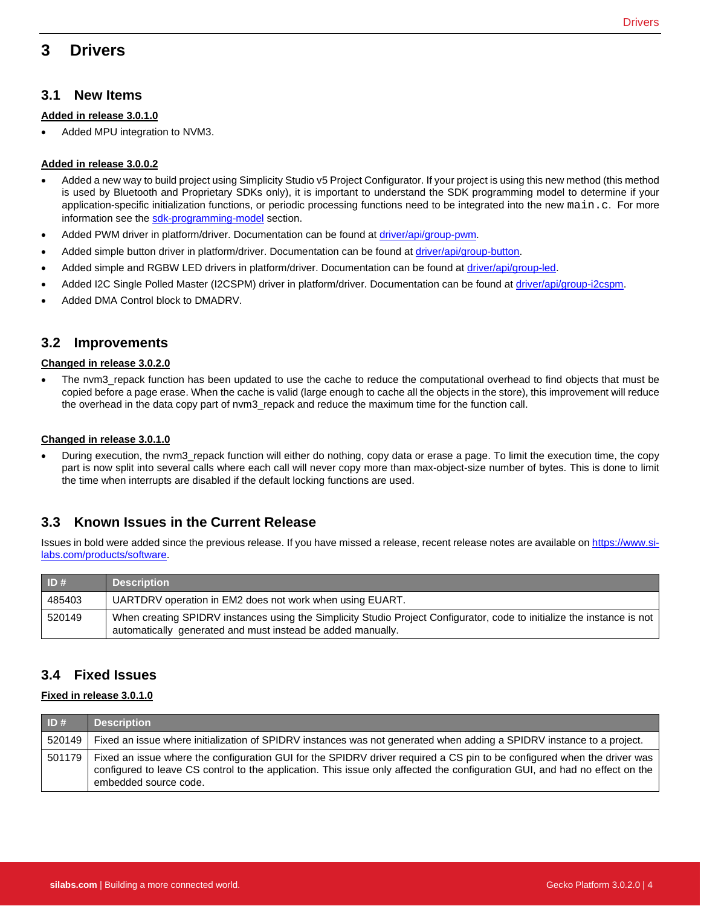# <span id="page-4-0"></span>**3 Drivers**

#### **Added in release 3.0.1.0**

Added MPU integration to NVM3.

#### **Added in release 3.0.0.2**

- Added a new way to build project using Simplicity Studio v5 Project Configurator. If your project is using this new method (this method is used by Bluetooth and Proprietary SDKs only), it is important to understand the SDK programming model to determine if your application-specific initialization functions, or periodic processing functions need to be integrated into the new main.c. For more information see the [sdk-programming-model](https://docs.silabs.com/gecko-platform/latest/sdk-programming-model) section.
- Added PWM driver in platform/driver. Documentation can be found at [driver/api/group-pwm.](https://docs.silabs.com/gecko-platform/latest/driver/api/group-pwm)
- Added simple button driver in platform/driver. Documentation can be found at [driver/api/group-button.](https://docs.silabs.com/gecko-platform/latest/driver/api/group-button)
- Added simple and RGBW LED drivers in platform/driver. Documentation can be found at *driver/api/group-led.*
- Added I2C Single Polled Master (I2CSPM) driver in platform/driver. Documentation can be found a[t driver/api/group-i2cspm.](https://docs.silabs.com/gecko-platform/latest/driver/api/group-i2cspm)
- Added DMA Control block to DMADRV.

## **3.2 Improvements**

#### **Changed in release 3.0.2.0**

• The nvm3\_repack function has been updated to use the cache to reduce the computational overhead to find objects that must be copied before a page erase. When the cache is valid (large enough to cache all the objects in the store), this improvement will reduce the overhead in the data copy part of nvm3\_repack and reduce the maximum time for the function call.

#### **Changed in release 3.0.1.0**

• During execution, the nvm3\_repack function will either do nothing, copy data or erase a page. To limit the execution time, the copy part is now split into several calls where each call will never copy more than max-object-size number of bytes. This is done to limit the time when interrupts are disabled if the default locking functions are used.

## **3.3 Known Issues in the Current Release**

Issues in bold were added since the previous release. If you have missed a release, recent release notes are available o[n https://www.si](https://www.silabs.com/products/software)[labs.com/products/software.](https://www.silabs.com/products/software)

| ID#    | <b>Description</b>                                                                                                                                                                     |
|--------|----------------------------------------------------------------------------------------------------------------------------------------------------------------------------------------|
| 485403 | UARTDRV operation in EM2 does not work when using EUART.                                                                                                                               |
| 520149 | When creating SPIDRV instances using the Simplicity Studio Project Configurator, code to initialize the instance is not<br>automatically generated and must instead be added manually. |

## **3.4 Fixed Issues**

#### **Fixed in release 3.0.1.0**

| ID#    | <b>Description</b>                                                                                                                                                                                                                                                              |
|--------|---------------------------------------------------------------------------------------------------------------------------------------------------------------------------------------------------------------------------------------------------------------------------------|
| 520149 | Fixed an issue where initialization of SPIDRV instances was not generated when adding a SPIDRV instance to a project.                                                                                                                                                           |
| 501179 | Fixed an issue where the configuration GUI for the SPIDRV driver required a CS pin to be configured when the driver was<br>configured to leave CS control to the application. This issue only affected the configuration GUI, and had no effect on the<br>embedded source code. |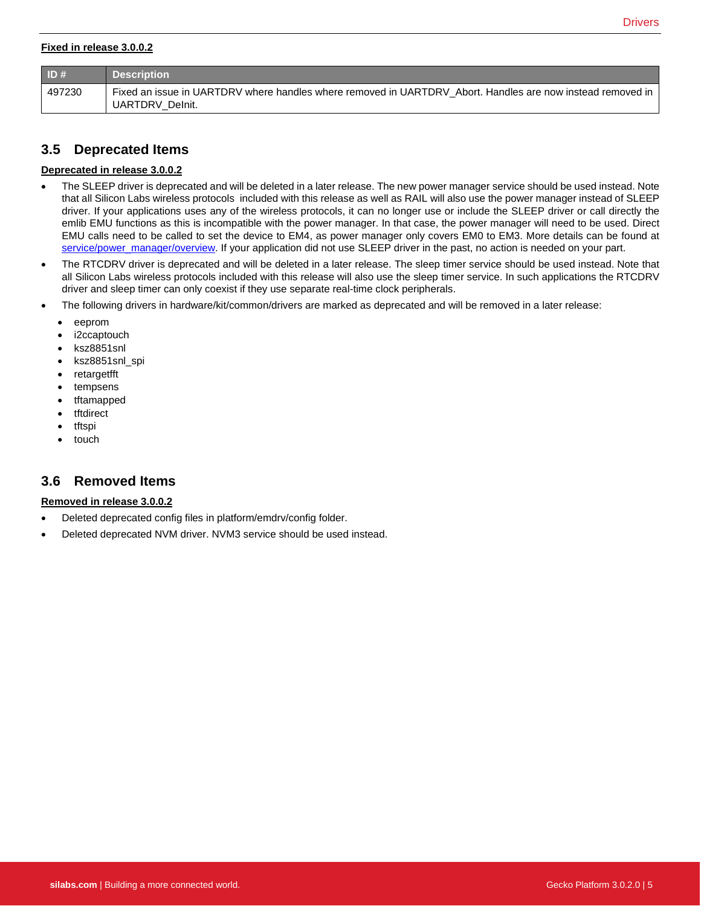#### **Fixed in release 3.0.0.2**

| ID#    | <b>Description</b>                                                                                                            |
|--------|-------------------------------------------------------------------------------------------------------------------------------|
| 497230 | Fixed an issue in UARTDRV where handles where removed in UARTDRV Abort. Handles are now instead removed in<br>UARTDRV Delnit. |

## **3.5 Deprecated Items**

#### **Deprecated in release 3.0.0.2**

- The SLEEP driver is deprecated and will be deleted in a later release. The new power manager service should be used instead. Note that all Silicon Labs wireless protocols included with this release as well as RAIL will also use the power manager instead of SLEEP driver. If your applications uses any of the wireless protocols, it can no longer use or include the SLEEP driver or call directly the emlib EMU functions as this is incompatible with the power manager. In that case, the power manager will need to be used. Direct EMU calls need to be called to set the device to EM4, as power manager only covers EM0 to EM3. More details can be found at [service/power\\_manager/overview.](https://docs.silabs.com/gecko-platform/latest/service/power_manager/overview) If your application did not use SLEEP driver in the past, no action is needed on your part.
- The RTCDRV driver is deprecated and will be deleted in a later release. The sleep timer service should be used instead. Note that all Silicon Labs wireless protocols included with this release will also use the sleep timer service. In such applications the RTCDRV driver and sleep timer can only coexist if they use separate real-time clock peripherals.
- The following drivers in hardware/kit/common/drivers are marked as deprecated and will be removed in a later release:
	- eeprom
	- i2ccaptouch
	- ksz8851snl
	- ksz8851snl\_spi
	- retargetfft
	- tempsens
	- tftamapped
	- **tftdirect**
	- tftspi
	- touch

## **3.6 Removed Items**

#### **Removed in release 3.0.0.2**

- Deleted deprecated config files in platform/emdrv/config folder.
- Deleted deprecated NVM driver. NVM3 service should be used instead.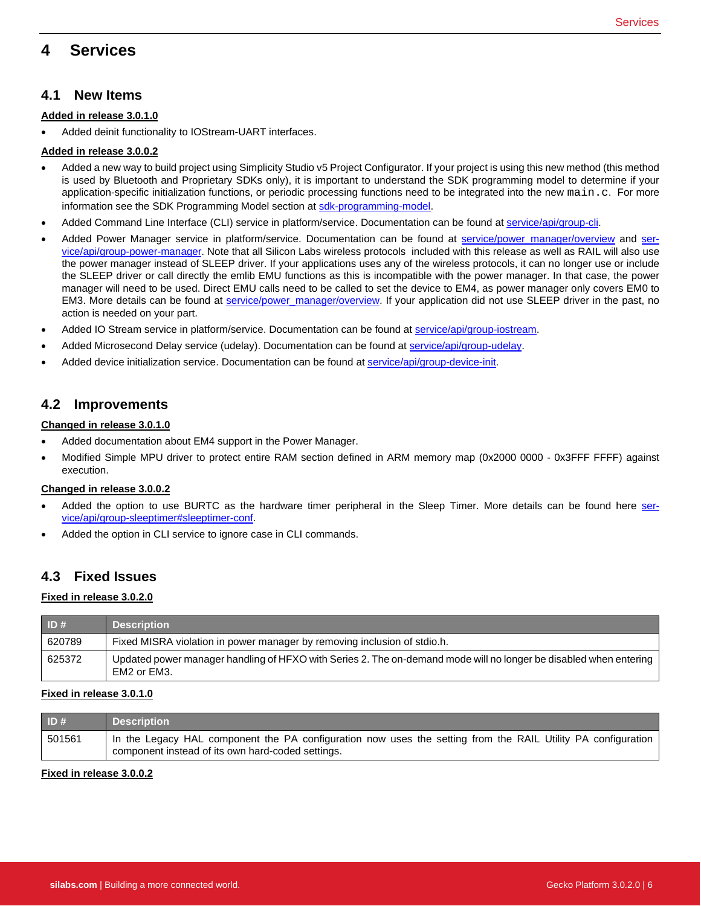# <span id="page-6-0"></span>**4 Services**

## **4.1 New Items**

#### **Added in release 3.0.1.0**

• Added deinit functionality to IOStream-UART interfaces.

#### **Added in release 3.0.0.2**

- Added a new way to build project using Simplicity Studio v5 Project Configurator. If your project is using this new method (this method is used by Bluetooth and Proprietary SDKs only), it is important to understand the SDK programming model to determine if your application-specific initialization functions, or periodic processing functions need to be integrated into the new main.c. For more information see the SDK Programming Model section a[t sdk-programming-model.](https://docs.silabs.com/gecko-platform/latest/sdk-programming-model)
- Added Command Line Interface (CLI) service in platform/service. Documentation can be found a[t service/api/group-cli.](https://docs.silabs.com/gecko-platform/latest/service/api/group-cli)
- Added Power Manager service in platform/service. Documentation can be found at [service/power\\_manager/overview](https://docs.silabs.com/gecko-platform/latest/service/power_manager/overview) and [ser](https://docs.silabs.com/gecko-platform/latest/service/api/group-power-manager)[vice/api/group-power-manager.](https://docs.silabs.com/gecko-platform/latest/service/api/group-power-manager) Note that all Silicon Labs wireless protocols included with this release as well as RAIL will also use the power manager instead of SLEEP driver. If your applications uses any of the wireless protocols, it can no longer use or include the SLEEP driver or call directly the emlib EMU functions as this is incompatible with the power manager. In that case, the power manager will need to be used. Direct EMU calls need to be called to set the device to EM4, as power manager only covers EM0 to EM3. More details can be found at [service/power\\_manager/overview.](https://docs.silabs.com/gecko-platform/latest/service/power_manager/overview) If your application did not use SLEEP driver in the past, no action is needed on your part.
- Added IO Stream service in platform/service. Documentation can be found a[t service/api/group-iostream.](https://docs.silabs.com/gecko-platform/latest/service/api/group-iostream)
- Added Microsecond Delay service (udelay). Documentation can be found a[t service/api/group-udelay.](https://docs.silabs.com/gecko-platform/latest/service/api/group-udelay)
- Added device initialization service. Documentation can be found at [service/api/group-device-init.](https://docs.silabs.com/gecko-platform/latest/service/api/group-device-init)

## **4.2 Improvements**

#### **Changed in release 3.0.1.0**

- Added documentation about EM4 support in the Power Manager.
- Modified Simple MPU driver to protect entire RAM section defined in ARM memory map (0x2000 0000 0x3FFF FFFF) against execution.

#### **Changed in release 3.0.0.2**

- Added the option to use BURTC as the hardware timer peripheral in the Sleep Timer. More details can be found here [ser](https://docs.silabs.com/gecko-platform/latest/service/api/group-sleeptimer#sleeptimer-conf)[vice/api/group-sleeptimer#sleeptimer-conf.](https://docs.silabs.com/gecko-platform/latest/service/api/group-sleeptimer#sleeptimer-conf)
- Added the option in CLI service to ignore case in CLI commands.

## **4.3 Fixed Issues**

#### **Fixed in release 3.0.2.0**

| ID#    | <b>Description</b>                                                                                                               |
|--------|----------------------------------------------------------------------------------------------------------------------------------|
| 620789 | Fixed MISRA violation in power manager by removing inclusion of stdio.h.                                                         |
| 625372 | Updated power manager handling of HFXO with Series 2. The on-demand mode will no longer be disabled when entering<br>EM2 or EM3. |

#### **Fixed in release 3.0.1.0**

| ID#    | <b>Description</b>                                                                                                                                                |
|--------|-------------------------------------------------------------------------------------------------------------------------------------------------------------------|
| 501561 | In the Legacy HAL component the PA configuration now uses the setting from the RAIL Utility PA configuration<br>component instead of its own hard-coded settings. |

#### **Fixed in release 3.0.0.2**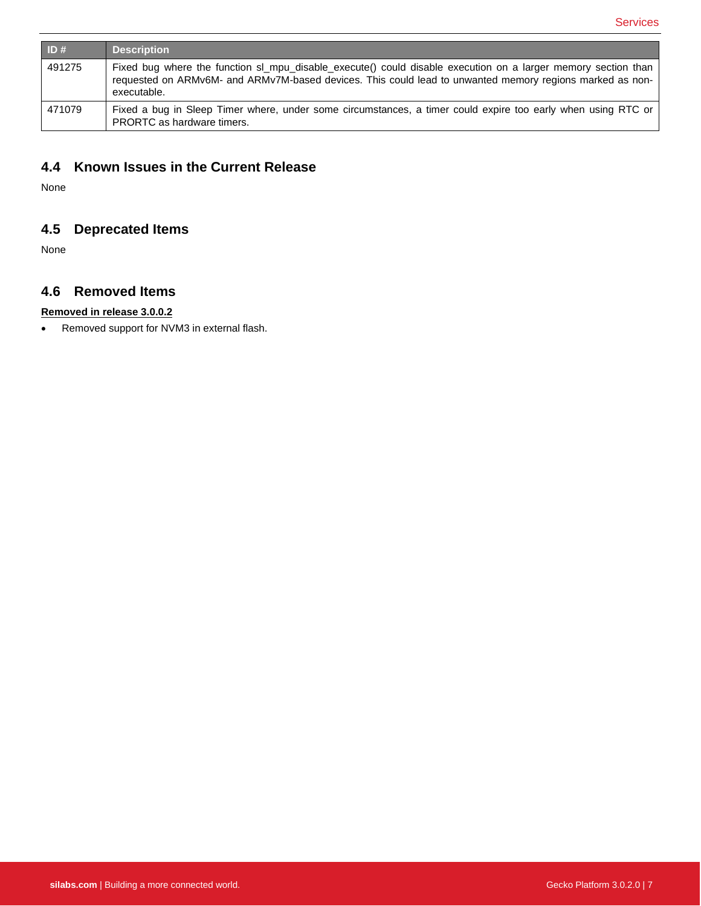| ID#    | <b>Description</b>                                                                                                                                                                                                                       |
|--------|------------------------------------------------------------------------------------------------------------------------------------------------------------------------------------------------------------------------------------------|
| 491275 | Fixed bug where the function sl_mpu_disable_execute() could disable execution on a larger memory section than<br>requested on ARMv6M- and ARMv7M-based devices. This could lead to unwanted memory regions marked as non-<br>executable. |
| 471079 | Fixed a bug in Sleep Timer where, under some circumstances, a timer could expire too early when using RTC or<br>PRORTC as hardware timers.                                                                                               |

# **4.4 Known Issues in the Current Release**

None

# **4.5 Deprecated Items**

None

## **4.6 Removed Items**

## **Removed in release 3.0.0.2**

• Removed support for NVM3 in external flash.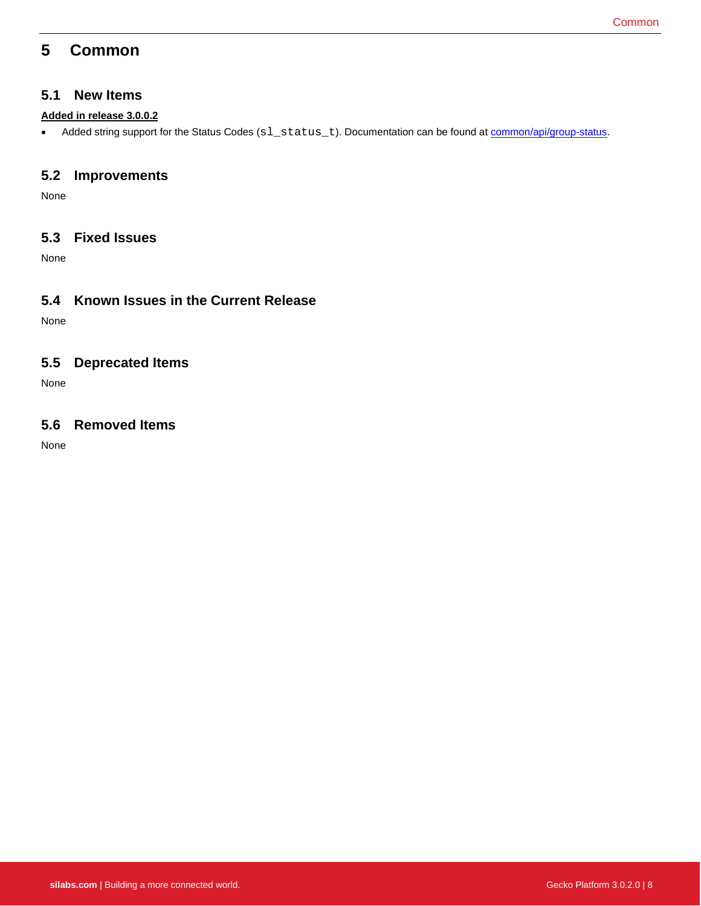# <span id="page-8-0"></span>**5 Common**

## **5.1 New Items**

### **Added in release 3.0.0.2**

• Added string support for the Status Codes (sl\_status\_t). Documentation can be found at **common/api/group-status**.

## **5.2 Improvements**

None

## **5.3 Fixed Issues**

None

## **5.4 Known Issues in the Current Release**

None

## **5.5 Deprecated Items**

None

## **5.6 Removed Items**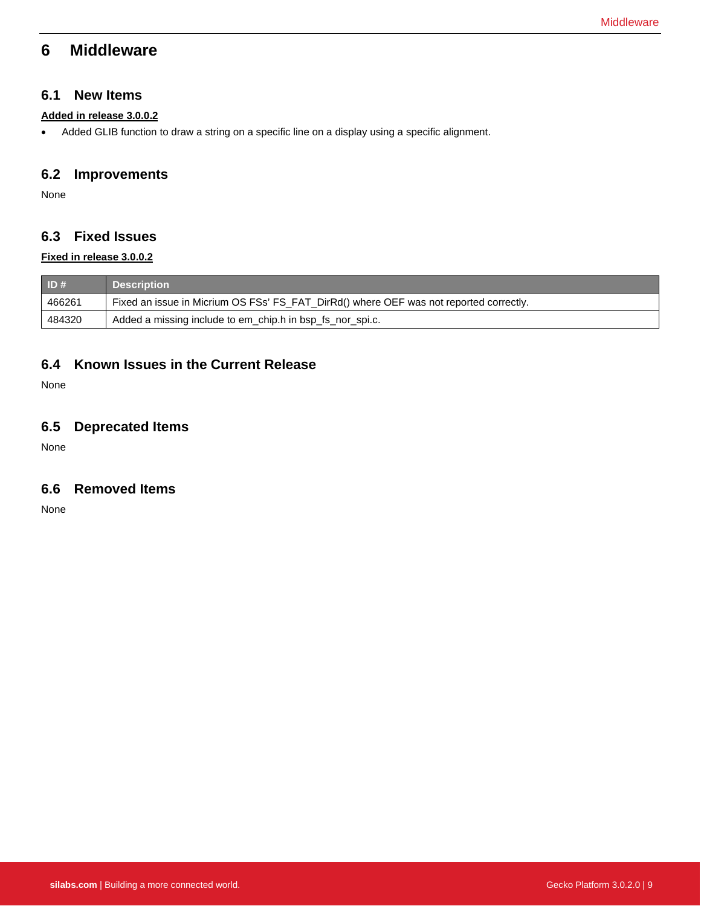# <span id="page-9-0"></span>**6 Middleware**

## **6.1 New Items**

#### **Added in release 3.0.0.2**

• Added GLIB function to draw a string on a specific line on a display using a specific alignment.

## **6.2 Improvements**

None

## **6.3 Fixed Issues**

#### **Fixed in release 3.0.0.2**

| $\blacksquare$ ID# | <b>Description</b>                                                                     |
|--------------------|----------------------------------------------------------------------------------------|
| 466261             | Fixed an issue in Micrium OS FSs' FS_FAT_DirRd() where OEF was not reported correctly. |
| 484320             | Added a missing include to em_chip.h in bsp_fs_nor_spi.c.                              |

## **6.4 Known Issues in the Current Release**

None

## **6.5 Deprecated Items**

None

## **6.6 Removed Items**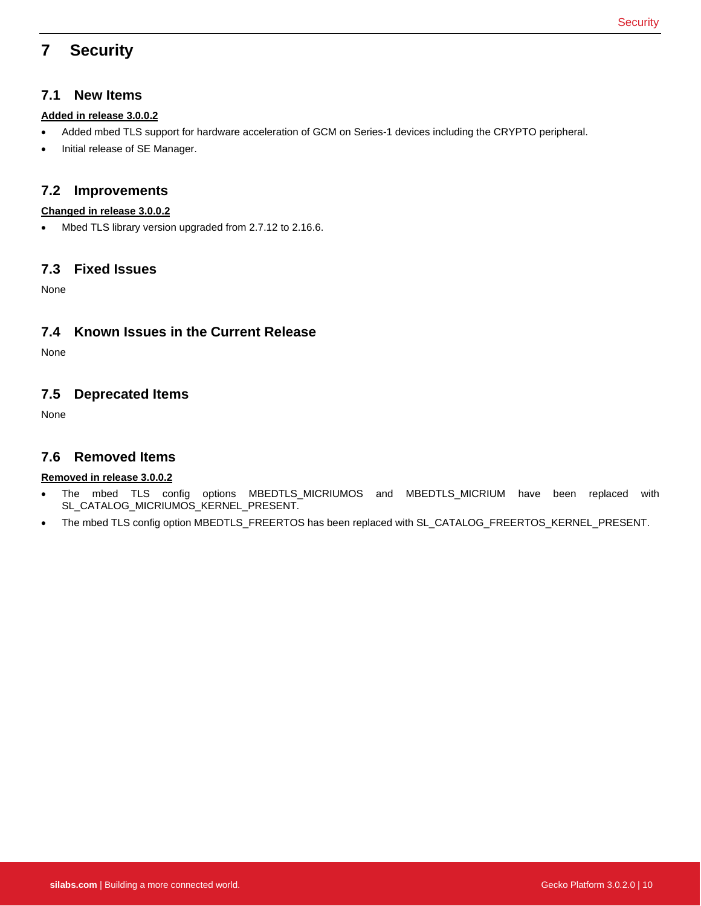# <span id="page-10-0"></span>**7 Security**

## **7.1 New Items**

### **Added in release 3.0.0.2**

- Added mbed TLS support for hardware acceleration of GCM on Series-1 devices including the CRYPTO peripheral.
- Initial release of SE Manager.

## **7.2 Improvements**

#### **Changed in release 3.0.0.2**

• Mbed TLS library version upgraded from 2.7.12 to 2.16.6.

## **7.3 Fixed Issues**

None

## **7.4 Known Issues in the Current Release**

None

## **7.5 Deprecated Items**

None

## **7.6 Removed Items**

### **Removed in release 3.0.0.2**

- The mbed TLS config options MBEDTLS\_MICRIUMOS and MBEDTLS\_MICRIUM have been replaced with SL\_CATALOG\_MICRIUMOS\_KERNEL\_PRESENT.
- The mbed TLS config option MBEDTLS\_FREERTOS has been replaced with SL\_CATALOG\_FREERTOS\_KERNEL\_PRESENT.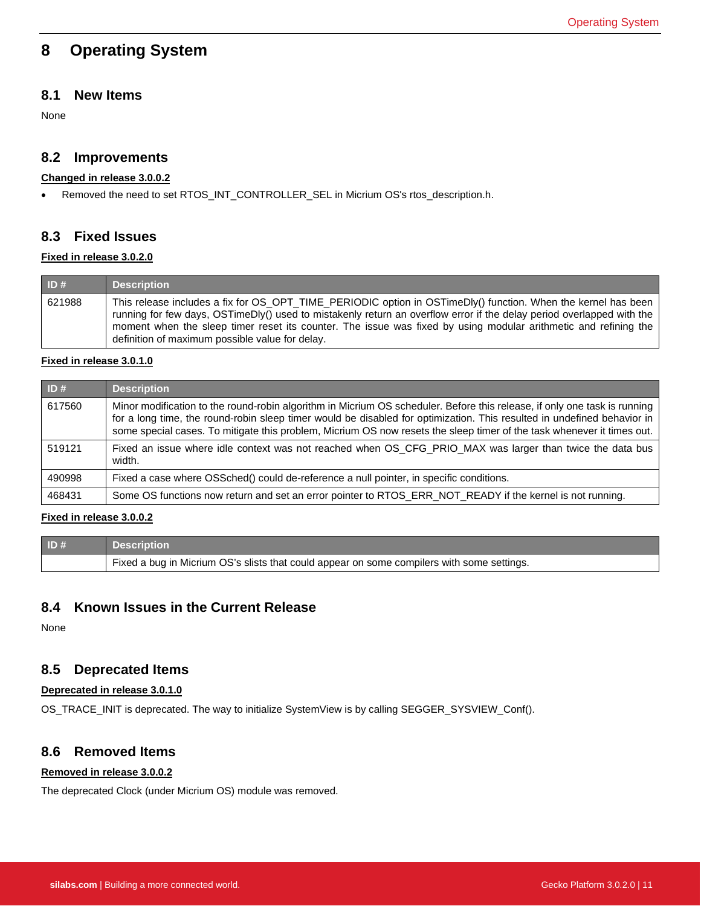# <span id="page-11-0"></span>**8 Operating System**

## **8.1 New Items**

None

## **8.2 Improvements**

#### **Changed in release 3.0.0.2**

• Removed the need to set RTOS\_INT\_CONTROLLER\_SEL in Micrium OS's rtos\_description.h.

## **8.3 Fixed Issues**

#### **Fixed in release 3.0.2.0**

| ID#    | <b>Description</b>                                                                                                                                                                                                                                                                                                                                                                                           |
|--------|--------------------------------------------------------------------------------------------------------------------------------------------------------------------------------------------------------------------------------------------------------------------------------------------------------------------------------------------------------------------------------------------------------------|
| 621988 | This release includes a fix for OS OPT TIME PERIODIC option in OSTimeDly() function. When the kernel has been<br>running for few days, OSTimeDly() used to mistakenly return an overflow error if the delay period overlapped with the<br>moment when the sleep timer reset its counter. The issue was fixed by using modular arithmetic and refining the<br>definition of maximum possible value for delay. |

#### **Fixed in release 3.0.1.0**

| ID#    | <b>Description</b>                                                                                                                                                                                                                                                                                                                                                             |
|--------|--------------------------------------------------------------------------------------------------------------------------------------------------------------------------------------------------------------------------------------------------------------------------------------------------------------------------------------------------------------------------------|
| 617560 | Minor modification to the round-robin algorithm in Micrium OS scheduler. Before this release, if only one task is running<br>for a long time, the round-robin sleep timer would be disabled for optimization. This resulted in undefined behavior in<br>some special cases. To mitigate this problem, Micrium OS now resets the sleep timer of the task whenever it times out. |
| 519121 | Fixed an issue where idle context was not reached when OS_CFG_PRIO_MAX was larger than twice the data bus<br>width.                                                                                                                                                                                                                                                            |
| 490998 | Fixed a case where OSSched() could de-reference a null pointer, in specific conditions.                                                                                                                                                                                                                                                                                        |
| 468431 | Some OS functions now return and set an error pointer to RTOS_ERR_NOT_READY if the kernel is not running.                                                                                                                                                                                                                                                                      |

### **Fixed in release 3.0.0.2**

| ID# | <b>Description</b>                                                                         |
|-----|--------------------------------------------------------------------------------------------|
|     | Fixed a bug in Micrium OS's slists that could appear on some compilers with some settings. |

## **8.4 Known Issues in the Current Release**

None

## **8.5 Deprecated Items**

#### **Deprecated in release 3.0.1.0**

OS\_TRACE\_INIT is deprecated. The way to initialize SystemView is by calling SEGGER\_SYSVIEW\_Conf().

## **8.6 Removed Items**

#### **Removed in release 3.0.0.2**

The deprecated Clock (under Micrium OS) module was removed.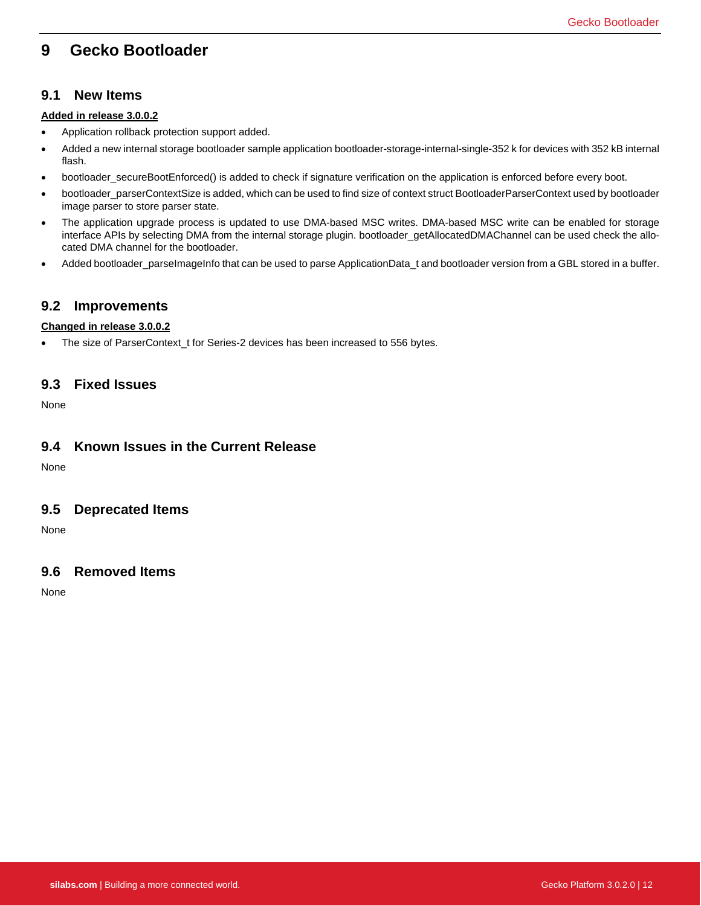# <span id="page-12-0"></span>**9 Gecko Bootloader**

## **9.1 New Items**

#### **Added in release 3.0.0.2**

- Application rollback protection support added.
- Added a new internal storage bootloader sample application bootloader-storage-internal-single-352 k for devices with 352 kB internal flash.
- bootloader\_secureBootEnforced() is added to check if signature verification on the application is enforced before every boot.
- bootloader\_parserContextSize is added, which can be used to find size of context struct BootloaderParserContext used by bootloader image parser to store parser state.
- The application upgrade process is updated to use DMA-based MSC writes. DMA-based MSC write can be enabled for storage interface APIs by selecting DMA from the internal storage plugin. bootloader\_getAllocatedDMAChannel can be used check the allocated DMA channel for the bootloader.
- Added bootloader\_parseImageInfo that can be used to parse ApplicationData\_t and bootloader version from a GBL stored in a buffer.

## **9.2 Improvements**

#### **Changed in release 3.0.0.2**

• The size of ParserContext\_t for Series-2 devices has been increased to 556 bytes.

## **9.3 Fixed Issues**

None

## **9.4 Known Issues in the Current Release**

None

### **9.5 Deprecated Items**

None

## **9.6 Removed Items**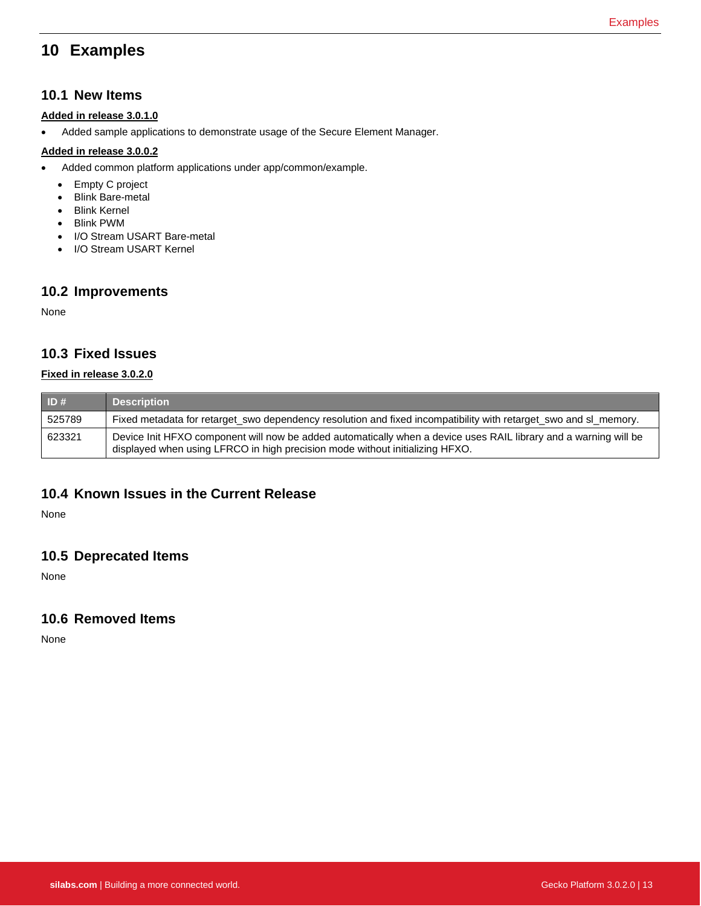# <span id="page-13-0"></span>**10 Examples**

## **10.1 New Items**

### **Added in release 3.0.1.0**

• Added sample applications to demonstrate usage of the Secure Element Manager.

#### **Added in release 3.0.0.2**

- Added common platform applications under app/common/example.
	- Empty C project
	- Blink Bare-metal
	- Blink Kernel
	- Blink PWM
	- I/O Stream USART Bare-metal
	- I/O Stream USART Kernel

## **10.2 Improvements**

None

## **10.3 Fixed Issues**

### **Fixed in release 3.0.2.0**

| ID#    | Description                                                                                                                                                                                      |
|--------|--------------------------------------------------------------------------------------------------------------------------------------------------------------------------------------------------|
| 525789 | Fixed metadata for retarget swo dependency resolution and fixed incompatibility with retarget swo and sl memory.                                                                                 |
| 623321 | Device Init HFXO component will now be added automatically when a device uses RAIL library and a warning will be<br>displayed when using LFRCO in high precision mode without initializing HFXO. |

## **10.4 Known Issues in the Current Release**

None

## **10.5 Deprecated Items**

None

## **10.6 Removed Items**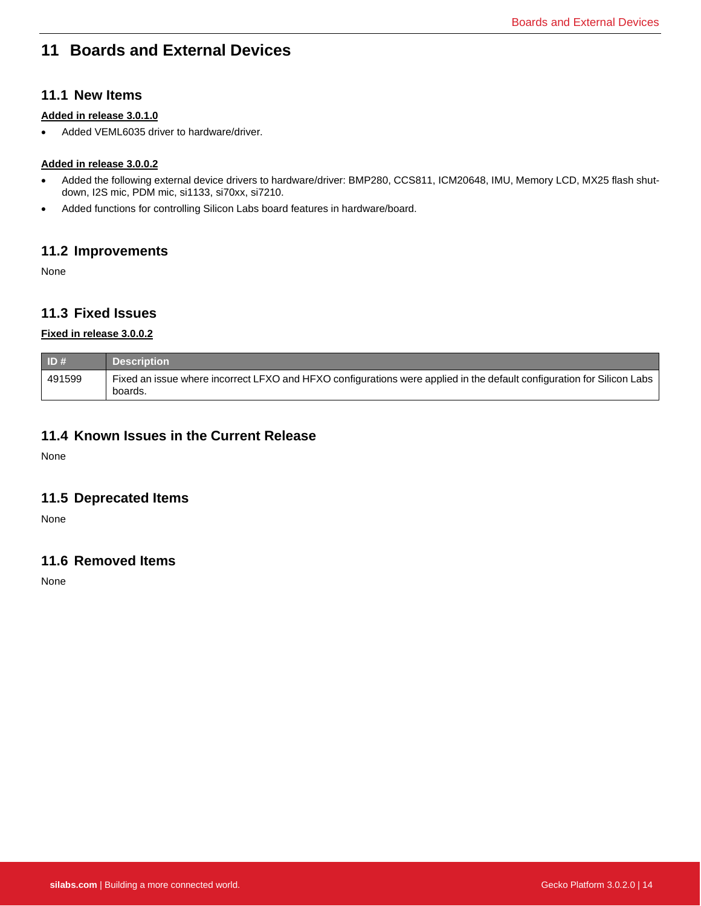# <span id="page-14-0"></span>**11 Boards and External Devices**

## **11.1 New Items**

#### **Added in release 3.0.1.0**

• Added VEML6035 driver to hardware/driver.

### **Added in release 3.0.0.2**

- Added the following external device drivers to hardware/driver: BMP280, CCS811, ICM20648, IMU, Memory LCD, MX25 flash shutdown, I2S mic, PDM mic, si1133, si70xx, si7210.
- Added functions for controlling Silicon Labs board features in hardware/board.

### **11.2 Improvements**

None

## **11.3 Fixed Issues**

### **Fixed in release 3.0.0.2**

| ID#    | <b>Description</b>                                                                                                                |
|--------|-----------------------------------------------------------------------------------------------------------------------------------|
| 491599 | Fixed an issue where incorrect LFXO and HFXO configurations were applied in the default configuration for Silicon Labs<br>boards. |

## **11.4 Known Issues in the Current Release**

None

## **11.5 Deprecated Items**

None

## **11.6 Removed Items**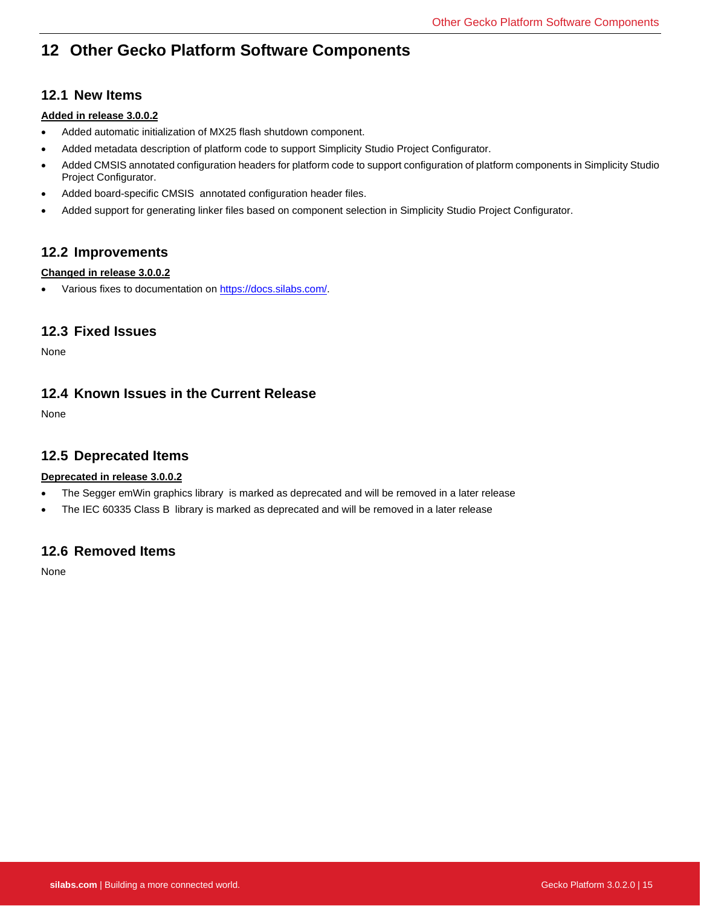# <span id="page-15-0"></span>**12 Other Gecko Platform Software Components**

## **12.1 New Items**

### **Added in release 3.0.0.2**

- Added automatic initialization of MX25 flash shutdown component.
- Added metadata description of platform code to support Simplicity Studio Project Configurator.
- Added CMSIS annotated configuration headers for platform code to support configuration of platform components in Simplicity Studio Project Configurator.
- Added board-specific CMSIS annotated configuration header files.
- Added support for generating linker files based on component selection in Simplicity Studio Project Configurator.

## **12.2 Improvements**

### **Changed in release 3.0.0.2**

• Various fixes to documentation on [https://docs.silabs.com/.](https://docs.silabs.com/)

## **12.3 Fixed Issues**

None

## **12.4 Known Issues in the Current Release**

None

## **12.5 Deprecated Items**

### **Deprecated in release 3.0.0.2**

- The Segger emWin graphics library is marked as deprecated and will be removed in a later release
- The IEC 60335 Class B library is marked as deprecated and will be removed in a later release

## **12.6 Removed Items**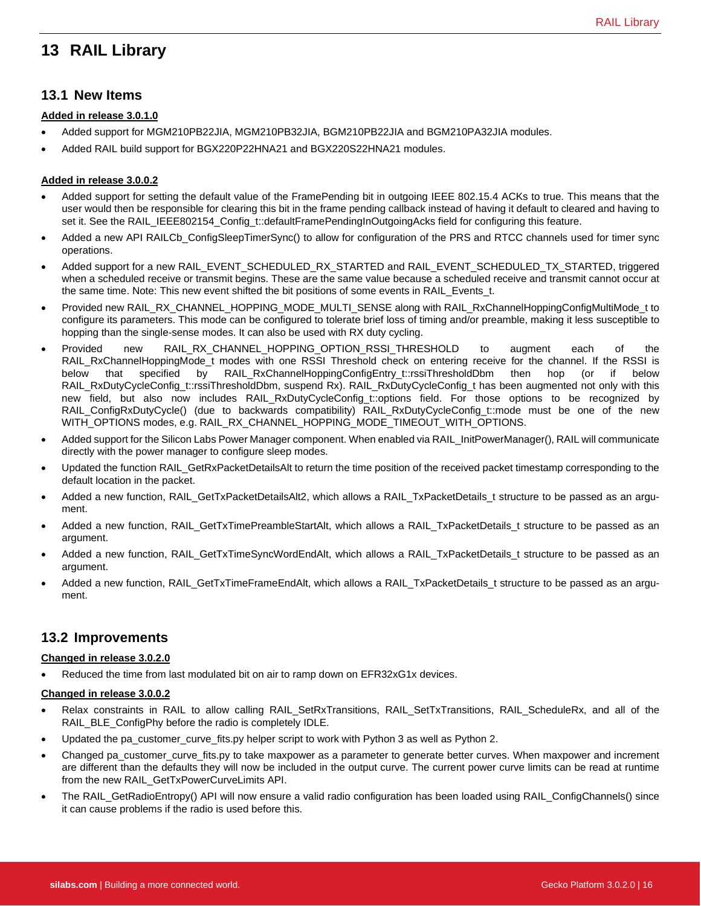# <span id="page-16-0"></span>**13 RAIL Library**

## **13.1 New Items**

#### **Added in release 3.0.1.0**

- Added support for MGM210PB22JIA, MGM210PB32JIA, BGM210PB22JIA and BGM210PA32JIA modules.
- Added RAIL build support for BGX220P22HNA21 and BGX220S22HNA21 modules.

#### **Added in release 3.0.0.2**

- Added support for setting the default value of the FramePending bit in outgoing IEEE 802.15.4 ACKs to true. This means that the user would then be responsible for clearing this bit in the frame pending callback instead of having it default to cleared and having to set it. See the RAIL\_IEEE802154\_Config\_t::defaultFramePendingInOutgoingAcks field for configuring this feature.
- Added a new API RAILCb\_ConfigSleepTimerSync() to allow for configuration of the PRS and RTCC channels used for timer sync operations.
- Added support for a new RAIL\_EVENT\_SCHEDULED\_RX\_STARTED and RAIL\_EVENT\_SCHEDULED\_TX\_STARTED, triggered when a scheduled receive or transmit begins. These are the same value because a scheduled receive and transmit cannot occur at the same time. Note: This new event shifted the bit positions of some events in RAIL\_Events\_t.
- Provided new RAIL\_RX\_CHANNEL\_HOPPING\_MODE\_MULTI\_SENSE along with RAIL\_RxChannelHoppingConfigMultiMode\_t to configure its parameters. This mode can be configured to tolerate brief loss of timing and/or preamble, making it less susceptible to hopping than the single-sense modes. It can also be used with RX duty cycling.
- Provided new RAIL\_RX\_CHANNEL\_HOPPING\_OPTION\_RSSI\_THRESHOLD to augment each of the RAIL\_RxChannelHoppingMode\_t modes with one RSSI Threshold check on entering receive for the channel. If the RSSI is below that specified by RAIL\_RxChannelHoppingConfigEntry\_t::rssiThresholdDbm then hop (or if below RAIL\_RxDutyCycleConfig\_t::rssiThresholdDbm, suspend Rx). RAIL\_RxDutyCycleConfig\_t has been augmented not only with this new field, but also now includes RAIL\_RxDutyCycleConfig\_t::options field. For those options to be recognized by RAIL\_ConfigRxDutyCycle() (due to backwards compatibility) RAIL\_RxDutyCycleConfig\_t::mode must be one of the new WITH\_OPTIONS modes, e.g. RAIL\_RX\_CHANNEL\_HOPPING\_MODE\_TIMEOUT\_WITH\_OPTIONS.
- Added support for the Silicon Labs Power Manager component. When enabled via RAIL\_InitPowerManager(), RAIL will communicate directly with the power manager to configure sleep modes.
- Updated the function RAIL\_GetRxPacketDetailsAlt to return the time position of the received packet timestamp corresponding to the default location in the packet.
- Added a new function, RAIL\_GetTxPacketDetailsAlt2, which allows a RAIL\_TxPacketDetails\_t structure to be passed as an argument.
- Added a new function, RAIL\_GetTxTimePreambleStartAlt, which allows a RAIL\_TxPacketDetails\_t structure to be passed as an argument.
- Added a new function, RAIL\_GetTxTimeSyncWordEndAlt, which allows a RAIL\_TxPacketDetails\_t structure to be passed as an argument.
- Added a new function, RAIL\_GetTxTimeFrameEndAlt, which allows a RAIL\_TxPacketDetails\_t structure to be passed as an argument.

## **13.2 Improvements**

#### **Changed in release 3.0.2.0**

Reduced the time from last modulated bit on air to ramp down on EFR32xG1x devices.

#### **Changed in release 3.0.0.2**

- Relax constraints in RAIL to allow calling RAIL\_SetRxTransitions, RAIL\_SetTxTransitions, RAIL\_ScheduleRx, and all of the RAIL\_BLE\_ConfigPhy before the radio is completely IDLE.
- Updated the pa\_customer\_curve\_fits.py helper script to work with Python 3 as well as Python 2.
- Changed pa\_customer\_curve\_fits.py to take maxpower as a parameter to generate better curves. When maxpower and increment are different than the defaults they will now be included in the output curve. The current power curve limits can be read at runtime from the new RAIL\_GetTxPowerCurveLimits API.
- The RAIL\_GetRadioEntropy() API will now ensure a valid radio configuration has been loaded using RAIL\_ConfigChannels() since it can cause problems if the radio is used before this.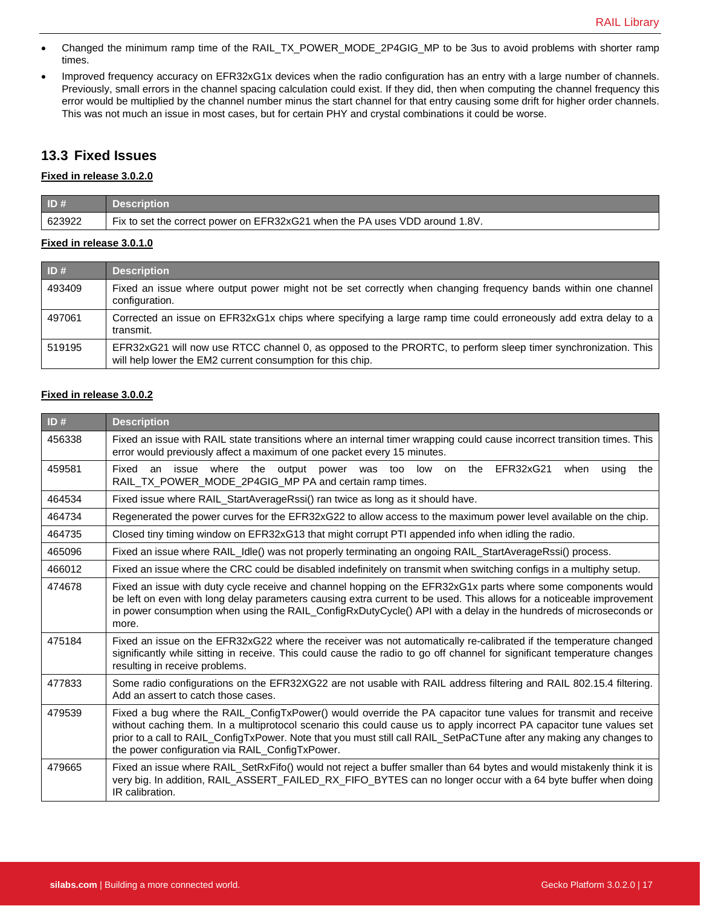- Changed the minimum ramp time of the RAIL\_TX\_POWER\_MODE\_2P4GIG\_MP to be 3us to avoid problems with shorter ramp times.
- Improved frequency accuracy on EFR32xG1x devices when the radio configuration has an entry with a large number of channels. Previously, small errors in the channel spacing calculation could exist. If they did, then when computing the channel frequency this error would be multiplied by the channel number minus the start channel for that entry causing some drift for higher order channels. This was not much an issue in most cases, but for certain PHY and crystal combinations it could be worse.

## **13.3 Fixed Issues**

#### **Fixed in release 3.0.2.0**

| $\blacksquare$ ID# | <b>Description</b>                                                          |
|--------------------|-----------------------------------------------------------------------------|
| 623922             | Fix to set the correct power on EFR32xG21 when the PA uses VDD around 1.8V. |

#### **Fixed in release 3.0.1.0**

| ID#    | <b>Description</b>                                                                                                                                                          |
|--------|-----------------------------------------------------------------------------------------------------------------------------------------------------------------------------|
| 493409 | Fixed an issue where output power might not be set correctly when changing frequency bands within one channel<br>configuration.                                             |
| 497061 | Corrected an issue on EFR32xG1x chips where specifying a large ramp time could erroneously add extra delay to a<br>transmit.                                                |
| 519195 | EFR32xG21 will now use RTCC channel 0, as opposed to the PRORTC, to perform sleep timer synchronization. This<br>will help lower the EM2 current consumption for this chip. |

#### **Fixed in release 3.0.0.2**

| ID#    | <b>Description</b>                                                                                                                                                                                                                                                                                                                                                                                                  |
|--------|---------------------------------------------------------------------------------------------------------------------------------------------------------------------------------------------------------------------------------------------------------------------------------------------------------------------------------------------------------------------------------------------------------------------|
| 456338 | Fixed an issue with RAIL state transitions where an internal timer wrapping could cause incorrect transition times. This<br>error would previously affect a maximum of one packet every 15 minutes.                                                                                                                                                                                                                 |
| 459581 | Fixed<br>an issue where the output<br>on the EFR32xG21<br>power was too low<br>when<br>using<br>the<br>RAIL_TX_POWER_MODE_2P4GIG_MP PA and certain ramp times.                                                                                                                                                                                                                                                      |
| 464534 | Fixed issue where RAIL_StartAverageRssi() ran twice as long as it should have.                                                                                                                                                                                                                                                                                                                                      |
| 464734 | Regenerated the power curves for the EFR32xG22 to allow access to the maximum power level available on the chip.                                                                                                                                                                                                                                                                                                    |
| 464735 | Closed tiny timing window on EFR32xG13 that might corrupt PTI appended info when idling the radio.                                                                                                                                                                                                                                                                                                                  |
| 465096 | Fixed an issue where RAIL_Idle() was not properly terminating an ongoing RAIL_StartAverageRssi() process.                                                                                                                                                                                                                                                                                                           |
| 466012 | Fixed an issue where the CRC could be disabled indefinitely on transmit when switching configs in a multiphy setup.                                                                                                                                                                                                                                                                                                 |
| 474678 | Fixed an issue with duty cycle receive and channel hopping on the EFR32xG1x parts where some components would<br>be left on even with long delay parameters causing extra current to be used. This allows for a noticeable improvement<br>in power consumption when using the RAIL_ConfigRxDutyCycle() API with a delay in the hundreds of microseconds or<br>more.                                                 |
| 475184 | Fixed an issue on the EFR32xG22 where the receiver was not automatically re-calibrated if the temperature changed<br>significantly while sitting in receive. This could cause the radio to go off channel for significant temperature changes<br>resulting in receive problems.                                                                                                                                     |
| 477833 | Some radio configurations on the EFR32XG22 are not usable with RAIL address filtering and RAIL 802.15.4 filtering.<br>Add an assert to catch those cases.                                                                                                                                                                                                                                                           |
| 479539 | Fixed a bug where the RAIL_ConfigTxPower() would override the PA capacitor tune values for transmit and receive<br>without caching them. In a multiprotocol scenario this could cause us to apply incorrect PA capacitor tune values set<br>prior to a call to RAIL_ConfigTxPower. Note that you must still call RAIL_SetPaCTune after any making any changes to<br>the power configuration via RAIL_ConfigTxPower. |
| 479665 | Fixed an issue where RAIL_SetRxFifo() would not reject a buffer smaller than 64 bytes and would mistakenly think it is<br>very big. In addition, RAIL_ASSERT_FAILED_RX_FIFO_BYTES can no longer occur with a 64 byte buffer when doing<br>IR calibration.                                                                                                                                                           |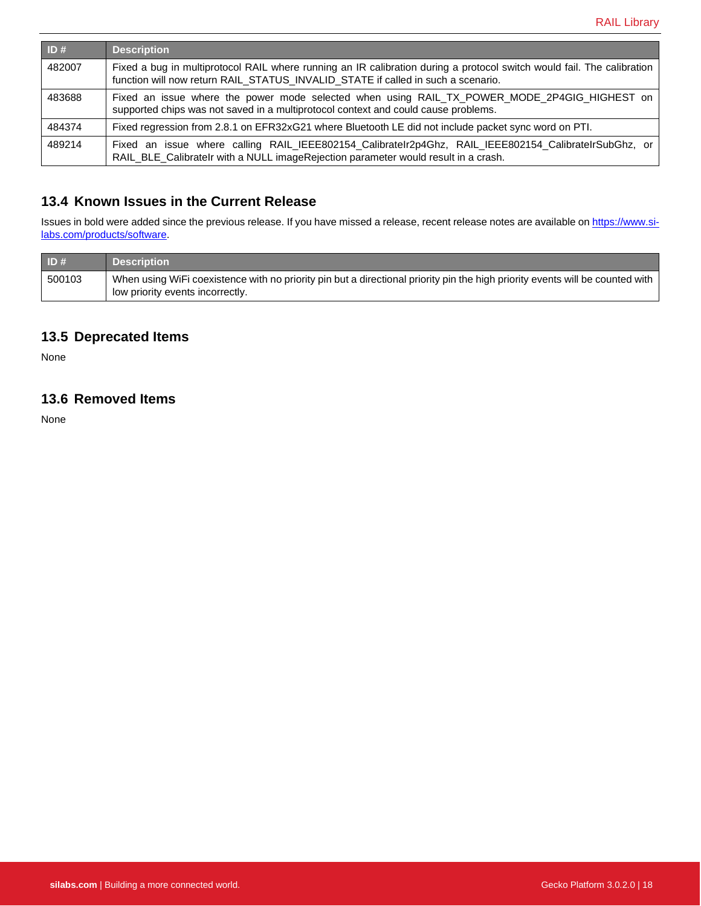| ID#    | <b>Description</b>                                                                                                                                                                                         |
|--------|------------------------------------------------------------------------------------------------------------------------------------------------------------------------------------------------------------|
| 482007 | Fixed a bug in multiprotocol RAIL where running an IR calibration during a protocol switch would fail. The calibration<br>function will now return RAIL_STATUS_INVALID_STATE if called in such a scenario. |
| 483688 | Fixed an issue where the power mode selected when using RAIL_TX_POWER_MODE_2P4GIG_HIGHEST on  <br>supported chips was not saved in a multiprotocol context and could cause problems.                       |
| 484374 | Fixed regression from 2.8.1 on EFR32xG21 where Bluetooth LE did not include packet sync word on PTI.                                                                                                       |
| 489214 | Fixed an issue where calling RAIL_IEEE802154_CalibrateIr2p4Ghz, RAIL_IEEE802154_CalibrateIrSubGhz, or<br>RAIL_BLE_CalibrateIr with a NULL imageRejection parameter would result in a crash.                |

## **13.4 Known Issues in the Current Release**

Issues in bold were added since the previous release. If you have missed a release, recent release notes are available o[n https://www.si](https://www.silabs.com/products/software)[labs.com/products/software.](https://www.silabs.com/products/software)

| ID#    | <b>Description</b>                                                                                                                                                |
|--------|-------------------------------------------------------------------------------------------------------------------------------------------------------------------|
| 500103 | When using WiFi coexistence with no priority pin but a directional priority pin the high priority events will be counted with<br>low priority events incorrectly. |

## **13.5 Deprecated Items**

None

# **13.6 Removed Items**